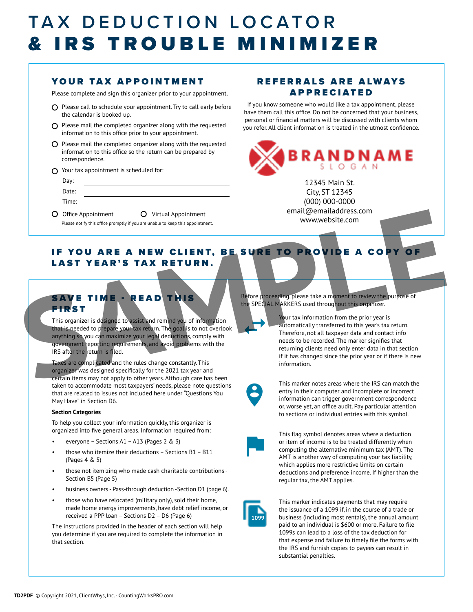### TAX DEDUCTION LOCATOR & IRS TROUBLE MINIMIZER

#### YOUR TAX APPOINTMENT

Please complete and sign this organizer prior to your appointment.

- $O$  Please call to schedule your appointment. Try to call early before the calendar is booked up.
- $\Omega$  Please mail the completed organizer along with the requested information to this office prior to your appointment.
- $O$  Please mail the completed organizer along with the requested information to this office so the return can be prepared by correspondence.
- $\Omega$  Your tax appointment is scheduled for:

| Day:  |                                                                                                                                         |
|-------|-----------------------------------------------------------------------------------------------------------------------------------------|
| Date: |                                                                                                                                         |
| Time: |                                                                                                                                         |
|       | ⌒<br>the contract of the contract of the contract of<br>the contract of the contract of the contract of the contract of the contract of |

O Office Appointment O Virtual Appointment Please notify this office promptly if you are unable to keep this appointment.

#### REFERRALS ARE ALWAYS APPRECIATED

If you know someone who would like a tax appointment, please have them call this office. Do not be concerned that your business, personal or financial matters will be discussed with clients whom you refer. All client information is treated in the utmost confidence.



12345 Main St. City, ST 12345 (000) 000-0000 email@emailaddress.com www.website.com

#### IF YOU ARE A NEW CLIENT, BE SURE TO PROVIDE A COPY OF LAST YEAR'S TAX RETURN.

#### SAVE TIME - READ THIS **FIRST**

This organizer is designed to assist and remind you of information that is needed to prepare your tax return. The goal is to not overlook anything so you can maximize your legal deductions, comply with government reporting requirements, and avoid problems with the IRS after the return is filed.

Taxes are complicated and the rules change constantly. This organizer was designed specifically for the 2021 tax year and certain items may not apply to other years. Although care has been taken to accommodate most taxpayers' needs, please note questions that are related to issues not included here under "Questions You May Have" in Section D6.

#### **Section Categories**

To help you collect your information quickly, this organizer is organized into five general areas. Information required from:

- everyone Sections A1 A13 (Pages 2 & 3)
- those who itemize their deductions Sections B1 B11 (Pages 4 & 5)
- those not itemizing who made cash charitable contributions Section B5 (Page 5)
- business owners Pass-through deduction -Section D1 (page 6).
- those who have relocated (military only), sold their home, made home energy improvements, have debt relief income, or received a PPP loan – Sections D2 – D6 (Page 6)

The instructions provided in the header of each section will help you determine if you are required to complete the information in that section.

Before proceeding, please take a moment to review the purpose of the SPECIAL MARKERS used throughout this organizer.

Your tax information from the prior year is automatically transferred to this year's tax return. Therefore, not all taxpayer data and contact info needs to be recorded. The marker signifies that returning clients need only enter data in that section if it has changed since the prior year or if there is new information. Contract and the state property of the state of the state of the state of the state of the state of the state of the state of the state of the state of the state of the state of the state of the state of the state of the s



 $\leftarrow$ 

This marker notes areas where the IRS can match the entry in their computer and incomplete or incorrect information can trigger government correspondence or, worse yet, an office audit. Pay particular attention to sections or individual entries with this symbol.



This flag symbol denotes areas where a deduction or item of income is to be treated differently when computing the alternative minimum tax (AMT). The AMT is another way of computing your tax liability, which applies more restrictive limits on certain deductions and preference income. If higher than the regular tax, the AMT applies.



This marker indicates payments that may require the issuance of a 1099 if, in the course of a trade or business (including most rentals), the annual amount paid to an individual is \$600 or more. Failure to file 1099s can lead to a loss of the tax deduction for that expense and failure to timely file the forms with the IRS and furnish copies to payees can result in substantial penalties.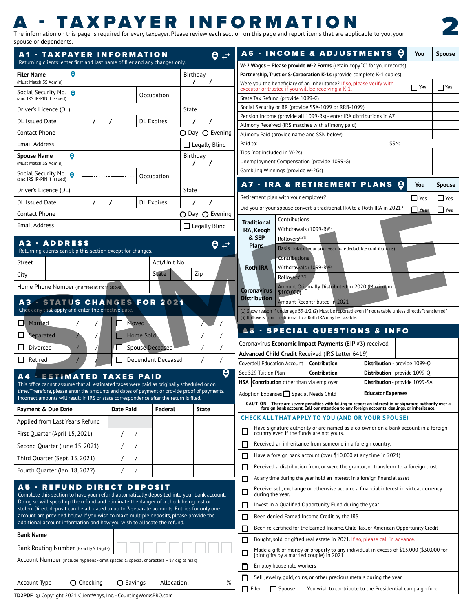### - TAXPAYER INFORMATI

The information on this page is required for every taxpayer. Please review each section on this page and report items that are applicable to you, your spouse or dependents.

 $\theta \neq$ 

A6 - INCOME & ADJUSTMENTS Q

2

**You Spouse**

| Returning clients: enter first and last name of filer and any changes only.                                                                                                                |                                                |                          |             |                          | W-2 Wages - Please provide W-2 Forms (retain copy "C" for your records)                                                                                           |                                |            |               |  |  |  |
|--------------------------------------------------------------------------------------------------------------------------------------------------------------------------------------------|------------------------------------------------|--------------------------|-------------|--------------------------|-------------------------------------------------------------------------------------------------------------------------------------------------------------------|--------------------------------|------------|---------------|--|--|--|
| <b>Filer Name</b>                                                                                                                                                                          |                                                |                          |             | Birthday                 | Partnership, Trust or S-Corporation K-1s (provide complete K-1 copies)                                                                                            |                                |            |               |  |  |  |
| (Must Match SS Admin)                                                                                                                                                                      |                                                |                          |             |                          | Were you the beneficiary of an inheritance? If so, please verify with                                                                                             |                                | $\Box$ Yes | $\Box$ Yes    |  |  |  |
| Social Security No. <b>8</b><br>(and IRS IP-PIN if issued)                                                                                                                                 |                                                | Occupation               |             |                          | executor or trustee if you will be receiving a K-1.<br>State Tax Refund (provide 1099-G)                                                                          |                                |            |               |  |  |  |
| Driver's Licence (DL)                                                                                                                                                                      |                                                |                          |             | State                    | Social Security or RR (provide SSA-1099 or RRB-1099)                                                                                                              |                                |            |               |  |  |  |
| DL Issued Date                                                                                                                                                                             |                                                | DL Expires               |             |                          | Pension Income (provide all 1099-Rs) - enter IRA distributions in A7                                                                                              |                                |            |               |  |  |  |
| Contact Phone                                                                                                                                                                              |                                                |                          |             | O Day O Evening          | Alimony Received (IRS matches with alimony paid)<br>Alimony Paid (provide name and SSN below)                                                                     |                                |            |               |  |  |  |
| Email Address                                                                                                                                                                              |                                                |                          |             | $\Box$ Legally Blind     | Paid to:                                                                                                                                                          | SSN:                           |            |               |  |  |  |
| $\bullet$                                                                                                                                                                                  |                                                |                          |             | Birthday                 | Tips (not included in W-2s)                                                                                                                                       |                                |            |               |  |  |  |
| Spouse Name<br>(Must Match SS Admin)                                                                                                                                                       |                                                |                          |             | $\sqrt{2}$               | Unemployment Compensation (provide 1099-G)                                                                                                                        |                                |            |               |  |  |  |
| Social Security No. <b>8</b><br>(and IRS IP-PIN if issued)                                                                                                                                 |                                                | Occupation               |             |                          | Gambling Winnings (provide W-2Gs)                                                                                                                                 |                                |            |               |  |  |  |
| Driver's Licence (DL)                                                                                                                                                                      |                                                |                          |             | State                    | A7 - IRA & RETIREMENT PLANS @                                                                                                                                     |                                | You        | <b>Spouse</b> |  |  |  |
| DL Issued Date                                                                                                                                                                             |                                                | <b>DL</b> Expires        |             |                          | Retirement plan with your employer?                                                                                                                               |                                | $\Box$ Yes | $\Box$ Yes    |  |  |  |
|                                                                                                                                                                                            |                                                |                          |             |                          | Did you or your spouse convert a traditional IRA to a Roth IRA in 2021?                                                                                           |                                | $\Box$ Yes | $\Box$ Yes    |  |  |  |
| Contact Phone                                                                                                                                                                              |                                                |                          |             | O Day O Evening          | Contributions<br><b>Traditional</b>                                                                                                                               |                                |            |               |  |  |  |
| Email Address                                                                                                                                                                              |                                                |                          |             | $\Box$ Legally Blind     | Withdrawals $(1099-R)^{(1)}$<br>IRA, Keogh                                                                                                                        |                                |            |               |  |  |  |
| A2 - ADDRESS                                                                                                                                                                               |                                                |                          |             |                          | & SEP<br>Rollovers <sup>(2)(3)</sup>                                                                                                                              |                                |            |               |  |  |  |
| Returning clients can skip this section except for changes.                                                                                                                                |                                                |                          |             | $\theta \Leftrightarrow$ | Plans<br>Basis (Total of your prior year non-deductible contributions)                                                                                            |                                |            |               |  |  |  |
| Street                                                                                                                                                                                     |                                                |                          | Apt/Unit No |                          | Contributions                                                                                                                                                     |                                |            |               |  |  |  |
|                                                                                                                                                                                            |                                                |                          |             |                          | Withdrawals (1099-R)<br><b>Roth IRA</b>                                                                                                                           |                                |            |               |  |  |  |
| City                                                                                                                                                                                       |                                                |                          |             | Zip                      | Rollovers <sup>(</sup>                                                                                                                                            |                                |            |               |  |  |  |
| Home Phone Number (if different from above)                                                                                                                                                |                                                |                          |             |                          | Amount Originally Distributed in 2020 (Maximum<br>Coronavirus  <br>\$100.00                                                                                       |                                |            |               |  |  |  |
| A3 - STATUS CHANGES FOR 2021<br>Check any that apply and enter the effective date.                                                                                                         |                                                |                          |             |                          | <b>Distribution</b><br>Amount Recontributed in 2021<br>(1) Show reason if under age 59-1/2 (2) Must be reported even if not taxable unless directly "transferred" |                                |            |               |  |  |  |
| $\Box$ Married                                                                                                                                                                             | D.                                             | Moved                    |             | $\sqrt{1}$               | (3) Rollovers from Traditional to a Roth IRA may be taxable.                                                                                                      |                                |            |               |  |  |  |
|                                                                                                                                                                                            |                                                |                          |             |                          | <b>A8 - SPECIAL QUESTIONS &amp; INFO</b>                                                                                                                          |                                |            |               |  |  |  |
| $\Box$ Separated                                                                                                                                                                           |                                                | Home Sold                |             |                          | Coronavirus Economic Impact Payments (EIP #3) received                                                                                                            |                                |            |               |  |  |  |
| Divorced                                                                                                                                                                                   |                                                | <b>D</b> Spouse Deceased |             |                          | Advanced Child Credit Received (IRS Letter 6419)                                                                                                                  |                                |            |               |  |  |  |
| $\Box$ Retired                                                                                                                                                                             |                                                | Dependent Deceased       |             |                          | Coverdell Education Account   Contribution                                                                                                                        | Distribution - provide 1099-Q  |            |               |  |  |  |
|                                                                                                                                                                                            |                                                |                          |             |                          | Sec 529 Tuition Plan<br>Contribution                                                                                                                              | Distribution - provide 1099-Q  |            |               |  |  |  |
| <b>A4 - ESTIMATED TAXES PAID</b>                                                                                                                                                           |                                                |                          |             |                          | HSA Contribution other than via employer                                                                                                                          | Distribution - provide 1099-SA |            |               |  |  |  |
| This office cannot assume that all estimated taxes were paid as originally scheduled or on<br>time. Therefore, please enter the amounts and dates of payment or provide proof of payments. |                                                |                          |             |                          | Adoption Expenses Special Needs Child                                                                                                                             | <b>Educator Expenses</b>       |            |               |  |  |  |
| Incorrect amounts will result in IRS or state correspondence after the return is filed.                                                                                                    |                                                |                          |             |                          | CAUTION - There are severe penalties with failing to report an interest in or signature authority over a                                                          |                                |            |               |  |  |  |
| Payment & Due Date                                                                                                                                                                         | Date Paid                                      |                          | Federal     | State                    | foreign bank account. Call our attention to any foreign accounts, dealings, or inheritance.                                                                       |                                |            |               |  |  |  |
| Applied from Last Year's Refund                                                                                                                                                            |                                                |                          |             |                          | <b>CHECK ALL THAT APPLY TO YOU (AND OR YOUR SPOUSE)</b>                                                                                                           |                                |            |               |  |  |  |
| First Quarter (April 15, 2021)                                                                                                                                                             | $\left  \begin{array}{cc} \end{array} \right $ |                          |             |                          | Have signature authority or are named as a co-owner on a bank account in a foreign<br>country even if the funds are not yours.                                    |                                |            |               |  |  |  |
| Second Quarter (June 15, 2021)                                                                                                                                                             |                                                | $\left  \right $         |             |                          | Received an inheritance from someone in a foreign country.                                                                                                        |                                |            |               |  |  |  |
| Third Quarter (Sept. 15, 2021)                                                                                                                                                             |                                                | $\left  \right $         |             |                          | Have a foreign bank account (over \$10,000 at any time in 2021)                                                                                                   |                                |            |               |  |  |  |
|                                                                                                                                                                                            |                                                |                          |             |                          | $\Box$ Received a distribution from, or were the grantor, or transferor to, a foreign trust                                                                       |                                |            |               |  |  |  |
| Fourth Quarter (Jan. 18, 2022)                                                                                                                                                             |                                                |                          |             |                          | $\Box$ At any time during the year hold an interest in a foreign financial asset                                                                                  |                                |            |               |  |  |  |
| A5 - REFUND DIRECT DEPOSIT<br>Complete this section to have your refund automatically deposited into your bank account.                                                                    |                                                |                          |             |                          | Receive, sell, exchange or otherwise acquire a financial interest in virtual currency<br>during the year.                                                         |                                |            |               |  |  |  |
| Doing so will speed up the refund and eliminate the danger of a check being lost or                                                                                                        |                                                |                          |             |                          | Invest in a Qualified Opportunity Fund during the year                                                                                                            |                                |            |               |  |  |  |
| stolen. Direct deposit can be allocated to up to 3 separate accounts. Entries for only one<br>account are provided below. If you wish to make multiple deposits, please provide the        |                                                |                          |             |                          |                                                                                                                                                                   |                                |            |               |  |  |  |
| additional account information and how you wish to allocate the refund.                                                                                                                    |                                                |                          |             |                          | Been denied Earned Income Credit by the IRS                                                                                                                       |                                |            |               |  |  |  |
| <b>Bank Name</b>                                                                                                                                                                           |                                                |                          |             |                          | Been re-certified for the Earned Income, Child Tax, or American Opportunity Credit                                                                                |                                |            |               |  |  |  |
|                                                                                                                                                                                            |                                                |                          |             |                          | Bought, sold, or gifted real estate in 2021. If so, please call in advance.                                                                                       |                                |            |               |  |  |  |
| Bank Routing Number (Exactly 9 Digits)<br>Account Number (include hyphens - omit spaces & special characters – 17 digits max)                                                              |                                                |                          |             |                          | Made a gift of money or property to any individual in excess of \$15,000 (\$30,000 for<br>joint gifts by a married couple) in 2021                                |                                |            |               |  |  |  |
|                                                                                                                                                                                            |                                                |                          |             |                          | Employ household workers                                                                                                                                          |                                |            |               |  |  |  |
|                                                                                                                                                                                            |                                                |                          |             |                          | Sell jewelry, gold, coins, or other precious metals during the year                                                                                               |                                |            |               |  |  |  |
| Account Type                                                                                                                                                                               | <b>O</b> Checking                              | O Savings                | Allocation: | %                        | Filer Spouse You wish to contribute to the Presidential campaign fund                                                                                             |                                |            |               |  |  |  |
| <b>FD2PDF</b> © Copyright 2021 ClientWhys, Inc. - CountingWorksPRO.com                                                                                                                     |                                                |                          |             |                          |                                                                                                                                                                   |                                |            |               |  |  |  |

A1 - TAXPAYER INFORMATION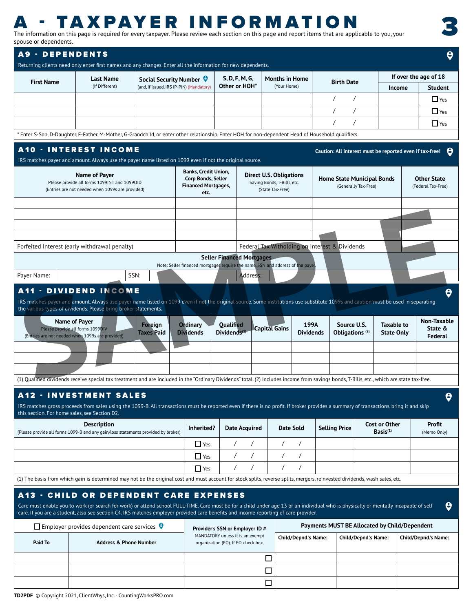## **A - TAXPAYER INFORMATION**<br>The information on this page is required for every taxpayer. Please review each section on this page and report items that are applicable to you, your

spouse or dependents.

3

| spouse or dependents.                                                                                                                                                                                                                                                                                                                                                                                                                                                 |                                                                                                         |                                                                             |                                    |                                                                     |                                                                                |                                   |                                                                   |                              |
|-----------------------------------------------------------------------------------------------------------------------------------------------------------------------------------------------------------------------------------------------------------------------------------------------------------------------------------------------------------------------------------------------------------------------------------------------------------------------|---------------------------------------------------------------------------------------------------------|-----------------------------------------------------------------------------|------------------------------------|---------------------------------------------------------------------|--------------------------------------------------------------------------------|-----------------------------------|-------------------------------------------------------------------|------------------------------|
| <b>A9 - DEPENDENTS</b>                                                                                                                                                                                                                                                                                                                                                                                                                                                |                                                                                                         |                                                                             |                                    |                                                                     |                                                                                |                                   |                                                                   | $\boldsymbol{\Theta}$        |
| Returning clients need only enter first names and any changes. Enter all the information for new dependents.                                                                                                                                                                                                                                                                                                                                                          |                                                                                                         |                                                                             |                                    |                                                                     |                                                                                |                                   |                                                                   |                              |
|                                                                                                                                                                                                                                                                                                                                                                                                                                                                       |                                                                                                         |                                                                             |                                    |                                                                     |                                                                                |                                   |                                                                   | If over the age of 18        |
| <b>First Name</b>                                                                                                                                                                                                                                                                                                                                                                                                                                                     | Last Name<br>(If Different)                                                                             | Social Security Number $\Theta$<br>(and, if issued, IRS IP-PIN) (Mandatory) |                                    | S, D, F, M, G,<br>Other or HOH*                                     | <b>Months in Home</b><br>(Your Home)                                           | <b>Birth Date</b>                 | Income                                                            | Student                      |
|                                                                                                                                                                                                                                                                                                                                                                                                                                                                       |                                                                                                         |                                                                             |                                    |                                                                     |                                                                                | $\sqrt{ }$                        |                                                                   | $\Box$ Yes                   |
|                                                                                                                                                                                                                                                                                                                                                                                                                                                                       |                                                                                                         |                                                                             |                                    |                                                                     |                                                                                |                                   |                                                                   |                              |
|                                                                                                                                                                                                                                                                                                                                                                                                                                                                       |                                                                                                         |                                                                             |                                    |                                                                     |                                                                                |                                   |                                                                   | $\blacksquare$ Yes           |
|                                                                                                                                                                                                                                                                                                                                                                                                                                                                       |                                                                                                         |                                                                             |                                    |                                                                     |                                                                                |                                   |                                                                   | $\Box$ Yes                   |
| * Enter S-Son, D-Daughter, F-Father, M-Mother, G-Grandchild, or enter other relationship. Enter HOH for non-dependent Head of Household qualifiers.                                                                                                                                                                                                                                                                                                                   |                                                                                                         |                                                                             |                                    |                                                                     |                                                                                |                                   |                                                                   |                              |
| <b>A10 - INTEREST INCOME</b>                                                                                                                                                                                                                                                                                                                                                                                                                                          |                                                                                                         |                                                                             |                                    |                                                                     |                                                                                |                                   | Caution: All interest must be reported even if tax-free! $\Theta$ |                              |
| IRS matches payer and amount. Always use the payer name listed on 1099 even if not the original source.                                                                                                                                                                                                                                                                                                                                                               |                                                                                                         |                                                                             |                                    |                                                                     |                                                                                |                                   |                                                                   |                              |
|                                                                                                                                                                                                                                                                                                                                                                                                                                                                       |                                                                                                         |                                                                             | <b>Banks, Credit Union,</b>        |                                                                     |                                                                                |                                   |                                                                   |                              |
|                                                                                                                                                                                                                                                                                                                                                                                                                                                                       | Name of Payer<br>Please provide all forms 1099INT and 1099OID                                           |                                                                             | Corp Bonds, Seller                 |                                                                     | <b>Direct U.S. Obligations</b><br>Saving Bonds, T-Bills, etc.                  | <b>Home State Municipal Bonds</b> |                                                                   | <b>Other State</b>           |
|                                                                                                                                                                                                                                                                                                                                                                                                                                                                       | (Entries are not needed when 1099s are provided)                                                        |                                                                             | <b>Financed Mortgages,</b><br>etc. |                                                                     | (State Tax-Free)                                                               | (Generally Tax-Free)              |                                                                   | (Federal Tax-Free)           |
|                                                                                                                                                                                                                                                                                                                                                                                                                                                                       |                                                                                                         |                                                                             |                                    |                                                                     |                                                                                |                                   |                                                                   |                              |
|                                                                                                                                                                                                                                                                                                                                                                                                                                                                       |                                                                                                         |                                                                             |                                    |                                                                     |                                                                                |                                   |                                                                   |                              |
|                                                                                                                                                                                                                                                                                                                                                                                                                                                                       |                                                                                                         |                                                                             |                                    |                                                                     |                                                                                |                                   |                                                                   |                              |
|                                                                                                                                                                                                                                                                                                                                                                                                                                                                       |                                                                                                         |                                                                             |                                    |                                                                     |                                                                                |                                   |                                                                   |                              |
|                                                                                                                                                                                                                                                                                                                                                                                                                                                                       |                                                                                                         |                                                                             |                                    |                                                                     |                                                                                |                                   |                                                                   |                              |
| Forfeited Interest (early withdrawal penalty)                                                                                                                                                                                                                                                                                                                                                                                                                         |                                                                                                         |                                                                             |                                    |                                                                     | Federal Tax Witholding on Interest & Dividends                                 |                                   |                                                                   |                              |
|                                                                                                                                                                                                                                                                                                                                                                                                                                                                       |                                                                                                         |                                                                             |                                    | <b>Seller Financed Mortgages</b>                                    | Note: Seller financed mortgages require the name, SSN and address of the payer |                                   |                                                                   |                              |
| Payer Name:                                                                                                                                                                                                                                                                                                                                                                                                                                                           |                                                                                                         | SSN:                                                                        |                                    | <b>Address</b>                                                      |                                                                                |                                   |                                                                   |                              |
| <b>A11 - DIVIDEND INCOME</b>                                                                                                                                                                                                                                                                                                                                                                                                                                          |                                                                                                         |                                                                             |                                    |                                                                     |                                                                                |                                   |                                                                   |                              |
| (1) Qualified dividends receive special tax treatment and are included in the "Ordinary Dividends" total. (2) Includes income from savings bonds, T-Bills, etc., which are state tax-free.<br><b>A12 · INVESTMENT SALES</b><br>IRS matches gross proceeds from sales using the 1099-B. All transactions must be reported even if there is no profit. If broker provides a summary of transactions, bring it and skip<br>this section. For home sales, see Section D2. |                                                                                                         |                                                                             |                                    |                                                                     |                                                                                |                                   |                                                                   |                              |
|                                                                                                                                                                                                                                                                                                                                                                                                                                                                       |                                                                                                         |                                                                             |                                    |                                                                     |                                                                                |                                   |                                                                   | $\vert \bm{\theta} \vert$    |
|                                                                                                                                                                                                                                                                                                                                                                                                                                                                       | <b>Description</b><br>(Please provide all forms 1099-B and any gain/loss statements provided by broker) |                                                                             | Inherited?                         | <b>Date Acquired</b>                                                | <b>Date Sold</b>                                                               | Selling Price                     | <b>Cost or Other</b><br>Basis <sup>(1)</sup>                      |                              |
|                                                                                                                                                                                                                                                                                                                                                                                                                                                                       |                                                                                                         |                                                                             |                                    |                                                                     |                                                                                |                                   |                                                                   |                              |
|                                                                                                                                                                                                                                                                                                                                                                                                                                                                       |                                                                                                         |                                                                             | $\blacksquare$ Yes                 |                                                                     |                                                                                |                                   |                                                                   |                              |
|                                                                                                                                                                                                                                                                                                                                                                                                                                                                       |                                                                                                         |                                                                             | $\Box$ Yes                         |                                                                     |                                                                                |                                   |                                                                   |                              |
|                                                                                                                                                                                                                                                                                                                                                                                                                                                                       |                                                                                                         |                                                                             | $\Box$ Yes                         |                                                                     |                                                                                |                                   |                                                                   |                              |
| (1) The basis from which gain is determined may not be the original cost and must account for stock splits, reverse splits, mergers, reinvested dividends, wash sales, etc.                                                                                                                                                                                                                                                                                           |                                                                                                         |                                                                             |                                    |                                                                     |                                                                                |                                   |                                                                   |                              |
| <b>A13 - CHILD OR DEPENDENT CARE EXPENSES</b>                                                                                                                                                                                                                                                                                                                                                                                                                         |                                                                                                         |                                                                             |                                    |                                                                     |                                                                                |                                   |                                                                   |                              |
| Care must enable you to work (or search for work) or attend school FULL-TIME. Care must be for a child under age 13 or an individual who is physically or mentally incapable of self                                                                                                                                                                                                                                                                                  |                                                                                                         |                                                                             |                                    |                                                                     |                                                                                |                                   |                                                                   |                              |
| care. If you are a student, also see section C4. IRS matches employer provided care benefits and income reporting of care provider.                                                                                                                                                                                                                                                                                                                                   |                                                                                                         |                                                                             |                                    |                                                                     |                                                                                |                                   |                                                                   |                              |
|                                                                                                                                                                                                                                                                                                                                                                                                                                                                       | $\Box$ Employer provides dependent care services $\Theta$                                               |                                                                             |                                    | Provider's SSN or Employer ID #<br>MANDATORY unless it is an exempt |                                                                                |                                   | Payments MUST BE Allocated by Child/Dependent                     | Profit<br>(Memo Only)<br>- 0 |
| Paid To                                                                                                                                                                                                                                                                                                                                                                                                                                                               | <b>Address &amp; Phone Number</b>                                                                       |                                                                             |                                    | organization (EO). If EO, check box.                                | Child/Depnd.'s Name:                                                           |                                   | <b>Child/Depnd.'s Name:</b>                                       | <b>Child/Depnd.'s Name:</b>  |
|                                                                                                                                                                                                                                                                                                                                                                                                                                                                       |                                                                                                         |                                                                             |                                    |                                                                     |                                                                                |                                   |                                                                   |                              |
|                                                                                                                                                                                                                                                                                                                                                                                                                                                                       |                                                                                                         |                                                                             |                                    |                                                                     | $\Box$                                                                         |                                   |                                                                   |                              |
|                                                                                                                                                                                                                                                                                                                                                                                                                                                                       |                                                                                                         |                                                                             |                                    |                                                                     | $\Box$<br>$\Box$                                                               |                                   |                                                                   |                              |

**TD2PDF** © Copyright 2021, ClientWhys, Inc. - CountingWorksPRO.com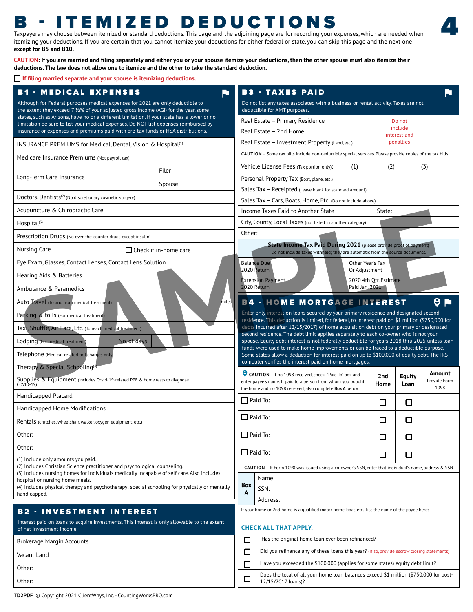### B - ITEMIZED DEDUCTIONS

Taxpayers may choose between itemized or standard deductions. This page and the adjoining page are for recording your expenses, which are needed when itemizing your deductions. If you are certain that you cannot itemize your deductions for either federal or state, you can skip this page and the next one **except for B5 and B10.** 

4

**CAUTION: If you are married and filing separately and either you or your spouse itemize your deductions, then the other spouse must also itemize their deductions. The law does not allow one to itemize and the other to take the standard deduction.** 

**If filing married separate and your spouse is itemizing deductions.**

| <b>B1 - MEDICAL EXPENSES</b>                                                                                                                                             | <b>B3 - TAXES PAID</b><br>RT.                                                                                                                                                        |                        |                           |                        |
|--------------------------------------------------------------------------------------------------------------------------------------------------------------------------|--------------------------------------------------------------------------------------------------------------------------------------------------------------------------------------|------------------------|---------------------------|------------------------|
| Although for Federal purposes medical expenses for 2021 are only deductible to<br>the extent they exceed 7 1⁄2% of your adjusted gross income (AGI) for the year, some   | Do not list any taxes associated with a business or rental activity. Taxes are not<br>deductible for AMT purposes.                                                                   |                        |                           |                        |
| states, such as Arizona, have no or a different limitation. If your state has a lower or no                                                                              | Real Estate - Primary Residence                                                                                                                                                      |                        | Do not                    |                        |
| limitation be sure to list your medical expenses. Do NOT list expenses reimbursed by<br>insurance or expenses and premiums paid with pre-tax funds or HSA distributions. | Real Estate - 2nd Home                                                                                                                                                               |                        | include                   |                        |
| INSURANCE PREMIUMS for Medical, Dental, Vision & Hospital <sup>(1)</sup>                                                                                                 | Real Estate - Investment Property (Land, etc.)                                                                                                                                       |                        | interest and<br>penalties |                        |
| Medicare Insurance Premiums (Not payroll tax)                                                                                                                            | CAUTION - Some tax bills include non-deductible special services. Please provide copies of the tax bills.                                                                            |                        |                           |                        |
| Filer                                                                                                                                                                    | Vehicle License Fees (Tax portion only):<br>(1)                                                                                                                                      | (2)                    |                           | (3)                    |
| Long-Term Care Insurance                                                                                                                                                 | Personal Property Tax (Boat, plane, etc.)                                                                                                                                            |                        |                           |                        |
| Spouse                                                                                                                                                                   | Sales Tax - Receipted (Leave blank for standard amount)                                                                                                                              |                        |                           |                        |
| Doctors, Dentists <sup>(2)</sup> (No discretionary cosmetic surgery)                                                                                                     | Sales Tax - Cars, Boats, Home, Etc. (Do not include above)                                                                                                                           |                        |                           |                        |
| Acupuncture & Chiropractic Care                                                                                                                                          | Income Taxes Paid to Another State                                                                                                                                                   | State:                 |                           |                        |
| Hospital <sup>(3)</sup>                                                                                                                                                  | City, County, Local Taxes (not listed in another category)                                                                                                                           |                        |                           |                        |
| Prescription Drugs (No over-the-counter drugs except insulin)                                                                                                            | Other:                                                                                                                                                                               |                        |                           |                        |
| □ Check if in-home care<br>Nursing Care                                                                                                                                  | State Income Tax Paid During 2021 (please provide proof of payment)<br>Do not include taxes withheld; they are automatic from the source documents.                                  |                        |                           |                        |
| Eye Exam, Glasses, Contact Lenses, Contact Lens Solution                                                                                                                 | <b>Balance Due</b><br>Other Year's Tax                                                                                                                                               |                        |                           |                        |
| Hearing Aids & Batteries                                                                                                                                                 | 2020 Return<br>Or Adjustment                                                                                                                                                         |                        |                           |                        |
| Ambulance & Paramedics                                                                                                                                                   | xtension Payment<br>2020 Return<br>Paid Jan. 2021                                                                                                                                    | 2020 4th Otr. Estimate |                           |                        |
| Auto Travel (To and from medical treatment)                                                                                                                              | <b>B4 - HOME MORTGAGE INTEREST</b>                                                                                                                                                   |                        |                           | $\theta$ M             |
| Parking & tolls (For medical treatment)                                                                                                                                  | Enter only interest on loans secured by your primary residence and designated second                                                                                                 |                        |                           |                        |
|                                                                                                                                                                          | residence. This deduction is limited, for federal, to interest paid on \$1 million (\$750,000 for                                                                                    |                        |                           |                        |
| Taxi, Shuttle, Air Fare, Etc. (To reach medical treatment)                                                                                                               | debts incurred after 12/15/2017) of home acquisition debt on your primary or designated<br>second residence. The debt limit applies separately to each co-owner who is not your      |                        |                           |                        |
| No. of days:<br>Lodging (For medical treatmer                                                                                                                            | spouse. Equity debt interest is not federally deductible for years 2018 thru 2025 unless loan<br>funds were used to make home improvements or can be traced to a deductible purpose. |                        |                           |                        |
| Telephone (Medical-related toll charges only                                                                                                                             | Some states allow a deduction for interest paid on up to \$100,000 of equity debt. The IRS                                                                                           |                        |                           |                        |
| Therapy & Special Schooling <sup>(4)</sup>                                                                                                                               | computer verifies the interest paid on home mortgages.                                                                                                                               |                        |                           |                        |
| Suppliers & Equipment (includes Covid-19-related PPE & home tests to diagnose<br>COVID-19)                                                                               | CAUTION - If no 1098 received, check "Paid To" box and<br>enter payee's name. If paid to a person from whom you bought                                                               | 2nd<br>Home            | <b>Equity</b>             | Amount<br>Provide Form |
|                                                                                                                                                                          | the home and no 1098 received, also complete Box A below.                                                                                                                            |                        | Loan                      | 1098                   |
| Handicapped Placard                                                                                                                                                      | $\Box$ Paid To:                                                                                                                                                                      | $\Box$                 | $\Box$                    |                        |
| Handicapped Home Modifications                                                                                                                                           | $\Box$ Paid To:                                                                                                                                                                      |                        |                           |                        |
| Rentals (crutches, wheelchair, walker, oxygen equipment, etc.)                                                                                                           |                                                                                                                                                                                      | $\Box$                 | □                         |                        |
| Other:                                                                                                                                                                   | $\Box$ Paid To:                                                                                                                                                                      | $\Box$                 | $\Box$                    |                        |
| Other:                                                                                                                                                                   | $\Box$ Paid To:                                                                                                                                                                      |                        |                           |                        |
| (1) Include only amounts you paid.                                                                                                                                       |                                                                                                                                                                                      | $\Box$                 | □                         |                        |
| (2) Includes Christian Science practitioner and psychological counseling.<br>(3) Includes nursing homes for individuals medically incapable of self care. Also includes  | CAUTION - If Form 1098 was issued using a co-owner's SSN, enter that individual's name, address & SSN                                                                                |                        |                           |                        |
| hospital or nursing home meals.                                                                                                                                          | Name:<br>Box                                                                                                                                                                         |                        |                           |                        |
| (4) Includes physical therapy and psychotherapy; special schooling for physically or mentally<br>handicapped.                                                            | SSN:<br>$\overline{A}$                                                                                                                                                               |                        |                           |                        |
|                                                                                                                                                                          | Address:                                                                                                                                                                             |                        |                           |                        |
| <b>B2 - INVESTMENT INTEREST</b>                                                                                                                                          | If your home or 2nd home is a qualified motor home, boat, etc., list the name of the payee here:                                                                                     |                        |                           |                        |
| Interest paid on loans to acquire investments. This interest is only allowable to the extent<br>of net investment income.                                                | <b>CHECK ALL THAT APPLY.</b>                                                                                                                                                         |                        |                           |                        |
| Brokerage Margin Accounts                                                                                                                                                | $\Box$<br>Has the original home loan ever been refinanced?                                                                                                                           |                        |                           |                        |
| Vacant Land                                                                                                                                                              | Did you refinance any of these loans this year? (If so, provide escrow closing statements)<br>$\Box$                                                                                 |                        |                           |                        |
| Other:                                                                                                                                                                   | Have you exceeded the \$100,000 (applies for some states) equity debt limit?<br>$\Box$                                                                                               |                        |                           |                        |
|                                                                                                                                                                          | Does the total of all your home loan balances exceed \$1 million (\$750,000 for post-                                                                                                |                        |                           |                        |
| Other:                                                                                                                                                                   | $\Box$<br>12/15/2017 loans)?                                                                                                                                                         |                        |                           |                        |

**TD2PDF** © Copyright 2021 ClientWhys, Inc. - CountingWorksPRO.com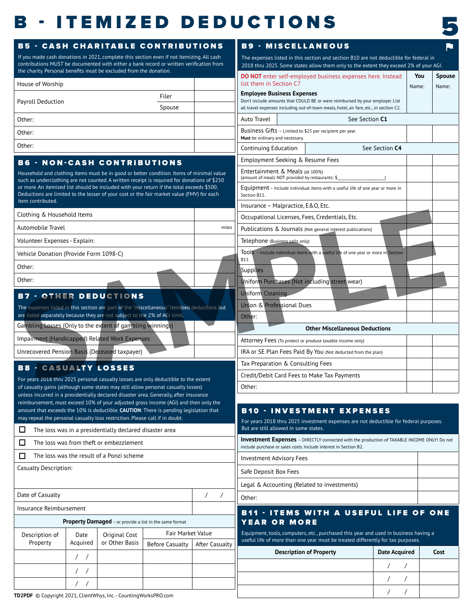### **B** - ITEMIZED DEDUCTIONS



| <b>B5 - CASH CHARITABLE CONTRIBUTIONS</b>                                                                                                                                                |                                                         |                |                                  |            | <b>B9 - MISCELLANEOUS</b>                                                                                                            |                                       |       |
|------------------------------------------------------------------------------------------------------------------------------------------------------------------------------------------|---------------------------------------------------------|----------------|----------------------------------|------------|--------------------------------------------------------------------------------------------------------------------------------------|---------------------------------------|-------|
| If you made cash donations in 2021, complete this section even if not itemizing. All cash<br>contributions MUST be documented with either a bank record or written verification from     |                                                         |                |                                  |            | The expenses listed in this section and section B10 are not deductible for federal in                                                |                                       |       |
| the charity. Personal benefits must be excluded from the donation.                                                                                                                       |                                                         |                |                                  |            | 2018 thru 2025. Some states allow them only to the extent they exceed 2% of your AGI.                                                |                                       | You   |
| House of Worship                                                                                                                                                                         |                                                         |                |                                  |            | <b>DO NOT</b> enter self-employed business expenses here. Instead<br>list them in Section C7                                         |                                       | Name: |
|                                                                                                                                                                                          |                                                         |                | Filer                            |            | <b>Employee Business Expenses</b><br>Don't include amounts that COULD BE or were reimbursed by your employer. List                   |                                       |       |
| Payroll Deduction                                                                                                                                                                        |                                                         |                | Spouse                           |            | all travel expenses including out-of-town meals, hotel, air fare, etc., in section C2.                                               |                                       |       |
| Other:                                                                                                                                                                                   |                                                         |                |                                  |            | Auto Travel                                                                                                                          | See Section C1                        |       |
| Other:                                                                                                                                                                                   |                                                         |                |                                  |            | Business Gifts - Limited to \$25 per recipient per year.<br>Must be ordinary and necessary.                                          |                                       |       |
| Other:                                                                                                                                                                                   |                                                         |                |                                  |            | Continuing Education                                                                                                                 | See Section C4                        |       |
| <b>B6 - NON-CASH CONTRIBUTIONS</b>                                                                                                                                                       |                                                         |                |                                  |            | Employment Seeking & Resume Fees                                                                                                     |                                       |       |
| Household and clothing items must be in good or better condition. Items of minimal value                                                                                                 |                                                         |                |                                  |            | Entertainment & Meals (at 100%)                                                                                                      |                                       |       |
| such as underclothing are not counted. A written receipt is required for donations of \$250<br>or more. An itemized list should be included with your return if the total exceeds \$500. |                                                         |                |                                  |            | (amount of meals NOT provided by restaurants: \$                                                                                     |                                       |       |
| Deductions are limited to the lesser of your cost or the fair market value (FMV) for each                                                                                                |                                                         |                |                                  |            | Equipment - Include individual items with a useful life of one year or more in<br>Section B11.                                       |                                       |       |
| item contributed.                                                                                                                                                                        |                                                         |                |                                  |            | Insurance - Malpractice, E&O, Etc.                                                                                                   |                                       |       |
| Clothing & Household Items                                                                                                                                                               |                                                         |                |                                  |            | Occupational Licenses, Fees, Credentials, Etc.                                                                                       |                                       |       |
| Automobile Travel                                                                                                                                                                        |                                                         |                |                                  | miles      | Publications & Journals (Not general interest publications)                                                                          |                                       |       |
| Volunteer Expenses - Explain:                                                                                                                                                            |                                                         |                |                                  |            | Telephone (Business calls only)                                                                                                      |                                       |       |
| Vehicle Donation (Provide Form 1098-C)                                                                                                                                                   |                                                         |                |                                  |            | Tools - Include individual items with a useful life of one year or more in Section                                                   |                                       |       |
| Other:                                                                                                                                                                                   |                                                         |                |                                  |            | Supplies                                                                                                                             |                                       |       |
| Other:                                                                                                                                                                                   |                                                         |                |                                  |            | Uniform Purchases (Not including street wear)                                                                                        |                                       |       |
| <b>B7 - OTHER DEDUCTIONS</b>                                                                                                                                                             |                                                         |                |                                  |            | <b>Uniform Cleaning</b>                                                                                                              |                                       |       |
| The expenses listed in this section are part of the "miscellaneous" itemized deductions but                                                                                              |                                                         |                |                                  |            | Union & Professional Dues                                                                                                            |                                       |       |
| are listed separately because they are not subject to the 2% of AGI limit.                                                                                                               |                                                         |                |                                  |            | Other:                                                                                                                               |                                       |       |
| Gambling Losses (Only to the extent of gambling winnings)                                                                                                                                |                                                         |                |                                  |            |                                                                                                                                      | <b>Other Miscellaneous Deductions</b> |       |
| Impairment (Handicapped) Related Work Expenses                                                                                                                                           |                                                         |                |                                  |            | Attorney Fees (To protect or produce taxable income only)                                                                            |                                       |       |
| Unrecovered Pension Basis (Deceased taxpayer)                                                                                                                                            |                                                         |                |                                  |            | IRA or SE Plan Fees Paid By You (Not deducted from the plan)                                                                         |                                       |       |
|                                                                                                                                                                                          |                                                         |                |                                  |            | Tax Preparation & Consulting Fees                                                                                                    |                                       |       |
| <b>B8 - CASUALTY LOSSES</b>                                                                                                                                                              |                                                         |                |                                  |            | Credit/Debit Card Fees to Make Tax Payments                                                                                          |                                       |       |
| For years 2018 thru 2025 personal casualty losses are only deductible to the extent<br>of casualty gains (although some states may still allow personal casualty losses)                 |                                                         |                |                                  |            | Other:                                                                                                                               |                                       |       |
| unless incurred in a presidentially declared disaster area. Generally, after insurance<br>reimbursement, must exceed 10% of your adjusted gross income (AGI) and then only the           |                                                         |                |                                  |            |                                                                                                                                      |                                       |       |
| amount that exceeds the 10% is deductible. CAUTION: There is pending legislation that                                                                                                    |                                                         |                |                                  |            | <b>B10 · INVESTMENT EXPENSES</b>                                                                                                     |                                       |       |
| may repeal the personal casualty loss restriction. Please call if in doubt.                                                                                                              |                                                         |                |                                  |            | For years 2018 thru 2025 investment expenses are not deductible for federal purposes.                                                |                                       |       |
| $\Box$                                                                                                                                                                                   | The loss was in a presidentially declared disaster area |                |                                  |            | But are still allowed in some states.<br>Investment Expenses - DIRECTLY connected with the production of TAXABLE INCOME ONLY! Do not |                                       |       |
| $\Box$                                                                                                                                                                                   | The loss was from theft or embezzlement                 |                |                                  |            | include purchase or sales costs. Include interest in Section B2.                                                                     |                                       |       |
| 0                                                                                                                                                                                        | The loss was the result of a Ponzi scheme               |                |                                  |            | <b>Investment Advisory Fees</b>                                                                                                      |                                       |       |
| <b>Casualty Description:</b>                                                                                                                                                             |                                                         |                |                                  |            | Safe Deposit Box Fees                                                                                                                |                                       |       |
|                                                                                                                                                                                          |                                                         |                |                                  |            | Legal & Accounting (Related to investments)                                                                                          |                                       |       |
| Date of Casualty                                                                                                                                                                         |                                                         |                |                                  | $\sqrt{2}$ | Other:                                                                                                                               |                                       |       |
| Insurance Reimbursement                                                                                                                                                                  |                                                         |                |                                  |            | <b>B11 - ITEMS WITH A USEFUL LIFE OF ONE</b>                                                                                         |                                       |       |
|                                                                                                                                                                                          | Property Damaged - or provide a list in the same format |                |                                  |            | YEAR OR MORE                                                                                                                         |                                       |       |
| Description of<br>Date                                                                                                                                                                   |                                                         | Original Cost  | Fair Market Value                |            | Equipment, tools, computers, etc., purchased this year and used in business having a                                                 |                                       |       |
| Property                                                                                                                                                                                 | Acquired                                                | or Other Basis | Before Casualty   After Casualty |            | useful life of more than one year must be treated differently for tax purposes.                                                      |                                       |       |
| $\left  \right $                                                                                                                                                                         |                                                         |                |                                  |            | <b>Description of Property</b>                                                                                                       | <b>Date Acquired</b>                  |       |
| $\sqrt{ }$                                                                                                                                                                               |                                                         |                |                                  |            |                                                                                                                                      |                                       |       |
|                                                                                                                                                                                          |                                                         |                |                                  |            |                                                                                                                                      |                                       |       |
|                                                                                                                                                                                          | $\left  \right $                                        |                |                                  |            |                                                                                                                                      |                                       |       |